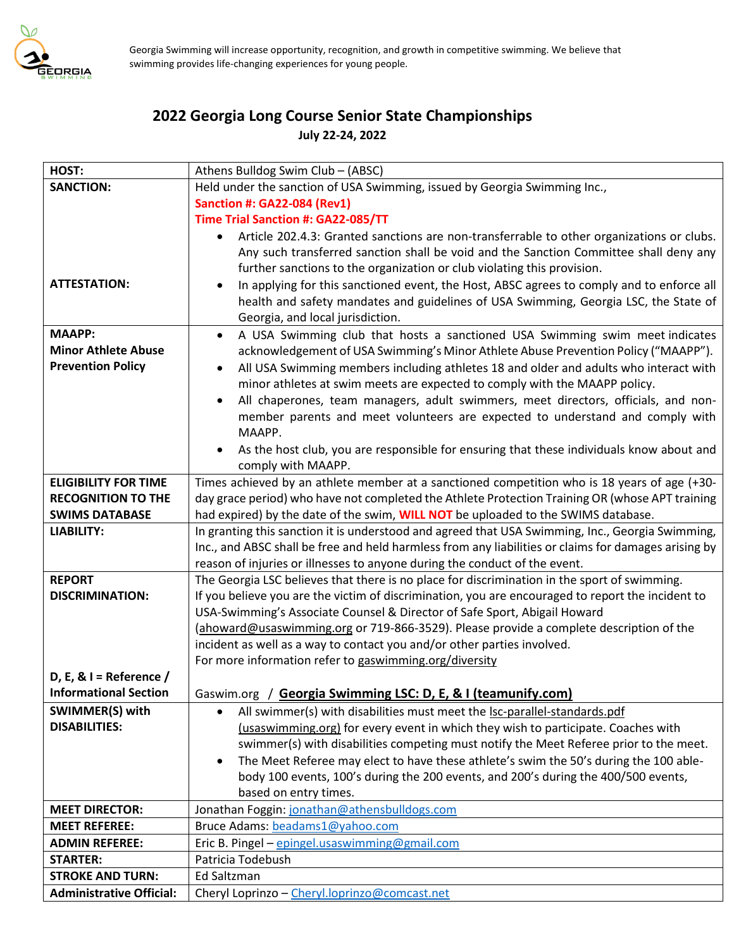

## **2022 Georgia Long Course Senior State Championships July 22-24, 2022**

| HOST:                           | Athens Bulldog Swim Club - (ABSC)                                                                                                 |
|---------------------------------|-----------------------------------------------------------------------------------------------------------------------------------|
| <b>SANCTION:</b>                | Held under the sanction of USA Swimming, issued by Georgia Swimming Inc.,                                                         |
|                                 | <b>Sanction #: GA22-084 (Rev1)</b>                                                                                                |
|                                 | Time Trial Sanction #: GA22-085/TT                                                                                                |
|                                 | Article 202.4.3: Granted sanctions are non-transferrable to other organizations or clubs.<br>$\bullet$                            |
|                                 | Any such transferred sanction shall be void and the Sanction Committee shall deny any                                             |
|                                 | further sanctions to the organization or club violating this provision.                                                           |
| <b>ATTESTATION:</b>             | In applying for this sanctioned event, the Host, ABSC agrees to comply and to enforce all<br>$\bullet$                            |
|                                 | health and safety mandates and guidelines of USA Swimming, Georgia LSC, the State of                                              |
|                                 | Georgia, and local jurisdiction.                                                                                                  |
| <b>MAAPP:</b>                   | A USA Swimming club that hosts a sanctioned USA Swimming swim meet indicates<br>$\bullet$                                         |
| <b>Minor Athlete Abuse</b>      | acknowledgement of USA Swimming's Minor Athlete Abuse Prevention Policy ("MAAPP").                                                |
| <b>Prevention Policy</b>        | All USA Swimming members including athletes 18 and older and adults who interact with<br>$\bullet$                                |
|                                 | minor athletes at swim meets are expected to comply with the MAAPP policy.                                                        |
|                                 | All chaperones, team managers, adult swimmers, meet directors, officials, and non-<br>$\bullet$                                   |
|                                 | member parents and meet volunteers are expected to understand and comply with                                                     |
|                                 | MAAPP.                                                                                                                            |
|                                 | As the host club, you are responsible for ensuring that these individuals know about and                                          |
|                                 | comply with MAAPP.                                                                                                                |
| <b>ELIGIBILITY FOR TIME</b>     | Times achieved by an athlete member at a sanctioned competition who is 18 years of age (+30-                                      |
| <b>RECOGNITION TO THE</b>       | day grace period) who have not completed the Athlete Protection Training OR (whose APT training                                   |
| <b>SWIMS DATABASE</b>           | had expired) by the date of the swim, WILL NOT be uploaded to the SWIMS database.                                                 |
| <b>LIABILITY:</b>               | In granting this sanction it is understood and agreed that USA Swimming, Inc., Georgia Swimming,                                  |
|                                 | Inc., and ABSC shall be free and held harmless from any liabilities or claims for damages arising by                              |
|                                 | reason of injuries or illnesses to anyone during the conduct of the event.                                                        |
| <b>REPORT</b>                   | The Georgia LSC believes that there is no place for discrimination in the sport of swimming.                                      |
| <b>DISCRIMINATION:</b>          | If you believe you are the victim of discrimination, you are encouraged to report the incident to                                 |
|                                 | USA-Swimming's Associate Counsel & Director of Safe Sport, Abigail Howard                                                         |
|                                 | (ahoward@usaswimming.org or 719-866-3529). Please provide a complete description of the                                           |
|                                 | incident as well as a way to contact you and/or other parties involved.<br>For more information refer to gaswimming.org/diversity |
| D, E, & $I =$ Reference /       |                                                                                                                                   |
| <b>Informational Section</b>    | Gaswim.org / Georgia Swimming LSC: D, E, & I (teamunify.com)                                                                      |
| SWIMMER(S) with                 | All swimmer(s) with disabilities must meet the lsc-parallel-standards.pdf                                                         |
| <b>DISABILITIES:</b>            | $\bullet$<br>(usaswimming.org) for every event in which they wish to participate. Coaches with                                    |
|                                 | swimmer(s) with disabilities competing must notify the Meet Referee prior to the meet.                                            |
|                                 | The Meet Referee may elect to have these athlete's swim the 50's during the 100 able-<br>$\bullet$                                |
|                                 | body 100 events, 100's during the 200 events, and 200's during the 400/500 events,                                                |
|                                 | based on entry times.                                                                                                             |
| <b>MEET DIRECTOR:</b>           | Jonathan Foggin: jonathan@athensbulldogs.com                                                                                      |
| <b>MEET REFEREE:</b>            | Bruce Adams: beadams1@yahoo.com                                                                                                   |
| <b>ADMIN REFEREE:</b>           | Eric B. Pingel - epingel.usaswimming@gmail.com                                                                                    |
| <b>STARTER:</b>                 | Patricia Todebush                                                                                                                 |
| <b>STROKE AND TURN:</b>         | Ed Saltzman                                                                                                                       |
| <b>Administrative Official:</b> | Cheryl Loprinzo - Cheryl.loprinzo@comcast.net                                                                                     |
|                                 |                                                                                                                                   |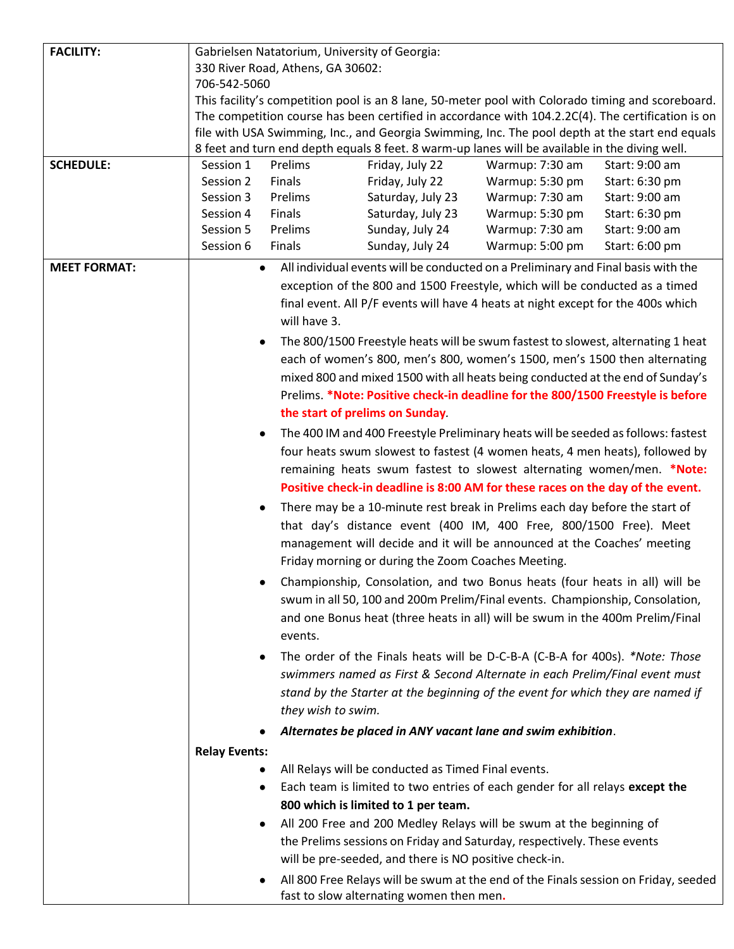| <b>FACILITY:</b>    |                                   | Gabrielsen Natatorium, University of Georgia: |                                                                                                |                 |                                                                                                   |
|---------------------|-----------------------------------|-----------------------------------------------|------------------------------------------------------------------------------------------------|-----------------|---------------------------------------------------------------------------------------------------|
|                     | 330 River Road, Athens, GA 30602: |                                               |                                                                                                |                 |                                                                                                   |
|                     | 706-542-5060                      |                                               |                                                                                                |                 |                                                                                                   |
|                     |                                   |                                               |                                                                                                |                 | This facility's competition pool is an 8 lane, 50-meter pool with Colorado timing and scoreboard. |
|                     |                                   |                                               |                                                                                                |                 | The competition course has been certified in accordance with 104.2.2C(4). The certification is on |
|                     |                                   |                                               |                                                                                                |                 | file with USA Swimming, Inc., and Georgia Swimming, Inc. The pool depth at the start end equals   |
|                     |                                   |                                               | 8 feet and turn end depth equals 8 feet. 8 warm-up lanes will be available in the diving well. |                 |                                                                                                   |
| <b>SCHEDULE:</b>    | Session 1                         | Prelims                                       | Friday, July 22                                                                                | Warmup: 7:30 am | Start: 9:00 am                                                                                    |
|                     | Session 2                         | Finals                                        | Friday, July 22                                                                                | Warmup: 5:30 pm | Start: 6:30 pm                                                                                    |
|                     | Session 3                         | Prelims                                       | Saturday, July 23                                                                              | Warmup: 7:30 am | Start: 9:00 am                                                                                    |
|                     | Session 4                         | Finals                                        | Saturday, July 23                                                                              | Warmup: 5:30 pm | Start: 6:30 pm                                                                                    |
|                     | Session 5                         | Prelims                                       | Sunday, July 24                                                                                | Warmup: 7:30 am | Start: 9:00 am                                                                                    |
|                     | Session 6                         | Finals                                        | Sunday, July 24                                                                                | Warmup: 5:00 pm | Start: 6:00 pm                                                                                    |
| <b>MEET FORMAT:</b> | $\bullet$                         |                                               | All individual events will be conducted on a Preliminary and Final basis with the              |                 |                                                                                                   |
|                     |                                   |                                               | exception of the 800 and 1500 Freestyle, which will be conducted as a timed                    |                 |                                                                                                   |
|                     |                                   |                                               | final event. All P/F events will have 4 heats at night except for the 400s which               |                 |                                                                                                   |
|                     |                                   | will have 3.                                  |                                                                                                |                 |                                                                                                   |
|                     |                                   |                                               | The 800/1500 Freestyle heats will be swum fastest to slowest, alternating 1 heat               |                 |                                                                                                   |
|                     |                                   |                                               | each of women's 800, men's 800, women's 1500, men's 1500 then alternating                      |                 |                                                                                                   |
|                     |                                   |                                               | mixed 800 and mixed 1500 with all heats being conducted at the end of Sunday's                 |                 |                                                                                                   |
|                     |                                   |                                               | Prelims. *Note: Positive check-in deadline for the 800/1500 Freestyle is before                |                 |                                                                                                   |
|                     |                                   |                                               |                                                                                                |                 |                                                                                                   |
|                     |                                   |                                               | the start of prelims on Sunday.                                                                |                 |                                                                                                   |
|                     |                                   |                                               | The 400 IM and 400 Freestyle Preliminary heats will be seeded as follows: fastest              |                 |                                                                                                   |
|                     |                                   |                                               | four heats swum slowest to fastest (4 women heats, 4 men heats), followed by                   |                 |                                                                                                   |
|                     |                                   |                                               | remaining heats swum fastest to slowest alternating women/men. *Note:                          |                 |                                                                                                   |
|                     |                                   |                                               | Positive check-in deadline is 8:00 AM for these races on the day of the event.                 |                 |                                                                                                   |
|                     |                                   |                                               | There may be a 10-minute rest break in Prelims each day before the start of                    |                 |                                                                                                   |
|                     |                                   |                                               | that day's distance event (400 IM, 400 Free, 800/1500 Free). Meet                              |                 |                                                                                                   |
|                     |                                   |                                               | management will decide and it will be announced at the Coaches' meeting                        |                 |                                                                                                   |
|                     |                                   |                                               | Friday morning or during the Zoom Coaches Meeting.                                             |                 |                                                                                                   |
|                     |                                   |                                               | Championship, Consolation, and two Bonus heats (four heats in all) will be                     |                 |                                                                                                   |
|                     |                                   |                                               | swum in all 50, 100 and 200m Prelim/Final events. Championship, Consolation,                   |                 |                                                                                                   |
|                     |                                   |                                               |                                                                                                |                 |                                                                                                   |
|                     |                                   |                                               | and one Bonus heat (three heats in all) will be swum in the 400m Prelim/Final                  |                 |                                                                                                   |
|                     |                                   | events.                                       |                                                                                                |                 |                                                                                                   |
|                     |                                   |                                               | The order of the Finals heats will be D-C-B-A (C-B-A for 400s). *Note: Those                   |                 |                                                                                                   |
|                     |                                   |                                               | swimmers named as First & Second Alternate in each Prelim/Final event must                     |                 |                                                                                                   |
|                     |                                   |                                               | stand by the Starter at the beginning of the event for which they are named if                 |                 |                                                                                                   |
|                     |                                   | they wish to swim.                            |                                                                                                |                 |                                                                                                   |
|                     |                                   |                                               | Alternates be placed in ANY vacant lane and swim exhibition.                                   |                 |                                                                                                   |
|                     | <b>Relay Events:</b>              |                                               |                                                                                                |                 |                                                                                                   |
|                     |                                   |                                               | All Relays will be conducted as Timed Final events.                                            |                 |                                                                                                   |
|                     |                                   |                                               | Each team is limited to two entries of each gender for all relays except the                   |                 |                                                                                                   |
|                     |                                   |                                               | 800 which is limited to 1 per team.                                                            |                 |                                                                                                   |
|                     |                                   |                                               |                                                                                                |                 |                                                                                                   |
|                     | $\bullet$                         |                                               | All 200 Free and 200 Medley Relays will be swum at the beginning of                            |                 |                                                                                                   |
|                     |                                   |                                               | the Prelims sessions on Friday and Saturday, respectively. These events                        |                 |                                                                                                   |
|                     |                                   |                                               | will be pre-seeded, and there is NO positive check-in.                                         |                 |                                                                                                   |
|                     |                                   |                                               |                                                                                                |                 | All 800 Free Relays will be swum at the end of the Finals session on Friday, seeded               |
|                     |                                   |                                               | fast to slow alternating women then men.                                                       |                 |                                                                                                   |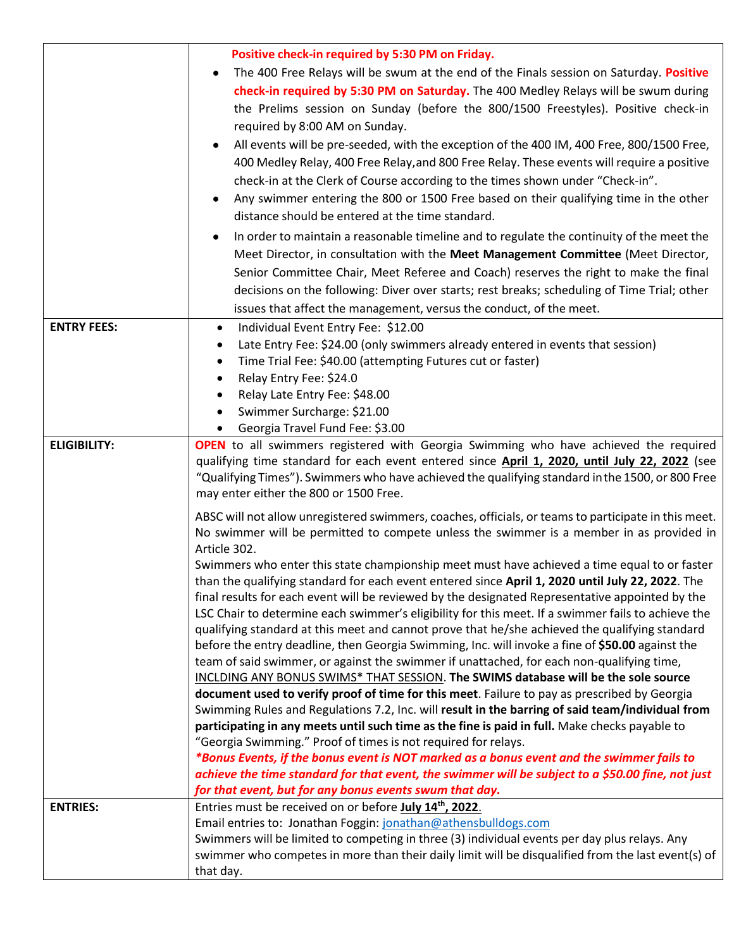|                     | Positive check-in required by 5:30 PM on Friday.                                                                                                                 |
|---------------------|------------------------------------------------------------------------------------------------------------------------------------------------------------------|
|                     | The 400 Free Relays will be swum at the end of the Finals session on Saturday. Positive                                                                          |
|                     | check-in required by 5:30 PM on Saturday. The 400 Medley Relays will be swum during                                                                              |
|                     | the Prelims session on Sunday (before the 800/1500 Freestyles). Positive check-in                                                                                |
|                     | required by 8:00 AM on Sunday.                                                                                                                                   |
|                     | All events will be pre-seeded, with the exception of the 400 IM, 400 Free, 800/1500 Free,                                                                        |
|                     | 400 Medley Relay, 400 Free Relay, and 800 Free Relay. These events will require a positive                                                                       |
|                     | check-in at the Clerk of Course according to the times shown under "Check-in".                                                                                   |
|                     | Any swimmer entering the 800 or 1500 Free based on their qualifying time in the other                                                                            |
|                     | distance should be entered at the time standard.                                                                                                                 |
|                     | In order to maintain a reasonable timeline and to regulate the continuity of the meet the                                                                        |
|                     | Meet Director, in consultation with the Meet Management Committee (Meet Director,                                                                                |
|                     | Senior Committee Chair, Meet Referee and Coach) reserves the right to make the final                                                                             |
|                     | decisions on the following: Diver over starts; rest breaks; scheduling of Time Trial; other                                                                      |
|                     | issues that affect the management, versus the conduct, of the meet.                                                                                              |
| <b>ENTRY FEES:</b>  |                                                                                                                                                                  |
|                     | Individual Event Entry Fee: \$12.00<br>$\bullet$                                                                                                                 |
|                     | Late Entry Fee: \$24.00 (only swimmers already entered in events that session)<br>٠                                                                              |
|                     | Time Trial Fee: \$40.00 (attempting Futures cut or faster)<br>$\bullet$<br>Relay Entry Fee: \$24.0                                                               |
|                     | ٠<br>Relay Late Entry Fee: \$48.00<br>$\bullet$                                                                                                                  |
|                     | Swimmer Surcharge: \$21.00                                                                                                                                       |
|                     | Georgia Travel Fund Fee: \$3.00                                                                                                                                  |
| <b>ELIGIBILITY:</b> | <b>OPEN</b> to all swimmers registered with Georgia Swimming who have achieved the required                                                                      |
|                     | qualifying time standard for each event entered since April 1, 2020, until July 22, 2022 (see                                                                    |
|                     | "Qualifying Times"). Swimmers who have achieved the qualifying standard in the 1500, or 800 Free                                                                 |
|                     | may enter either the 800 or 1500 Free.                                                                                                                           |
|                     | ABSC will not allow unregistered swimmers, coaches, officials, or teams to participate in this meet.                                                             |
|                     | No swimmer will be permitted to compete unless the swimmer is a member in as provided in                                                                         |
|                     | Article 302.                                                                                                                                                     |
|                     | Swimmers who enter this state championship meet must have achieved a time equal to or faster                                                                     |
|                     | than the qualifying standard for each event entered since April 1, 2020 until July 22, 2022. The                                                                 |
|                     | final results for each event will be reviewed by the designated Representative appointed by the                                                                  |
|                     | LSC Chair to determine each swimmer's eligibility for this meet. If a swimmer fails to achieve the                                                               |
|                     | qualifying standard at this meet and cannot prove that he/she achieved the qualifying standard                                                                   |
|                     | before the entry deadline, then Georgia Swimming, Inc. will invoke a fine of \$50.00 against the                                                                 |
|                     | team of said swimmer, or against the swimmer if unattached, for each non-qualifying time,                                                                        |
|                     | INCLDING ANY BONUS SWIMS* THAT SESSION. The SWIMS database will be the sole source                                                                               |
|                     | document used to verify proof of time for this meet. Failure to pay as prescribed by Georgia                                                                     |
|                     | Swimming Rules and Regulations 7.2, Inc. will result in the barring of said team/individual from                                                                 |
|                     | participating in any meets until such time as the fine is paid in full. Make checks payable to<br>"Georgia Swimming." Proof of times is not required for relays. |
|                     | *Bonus Events, if the bonus event is NOT marked as a bonus event and the swimmer fails to                                                                        |
|                     | achieve the time standard for that event, the swimmer will be subject to a \$50.00 fine, not just                                                                |
|                     | for that event, but for any bonus events swum that day.                                                                                                          |
| <b>ENTRIES:</b>     | Entries must be received on or before July 14th, 2022.                                                                                                           |
|                     | Email entries to: Jonathan Foggin: jonathan@athensbulldogs.com                                                                                                   |
|                     | Swimmers will be limited to competing in three (3) individual events per day plus relays. Any                                                                    |
|                     | swimmer who competes in more than their daily limit will be disqualified from the last event(s) of                                                               |
|                     | that day.                                                                                                                                                        |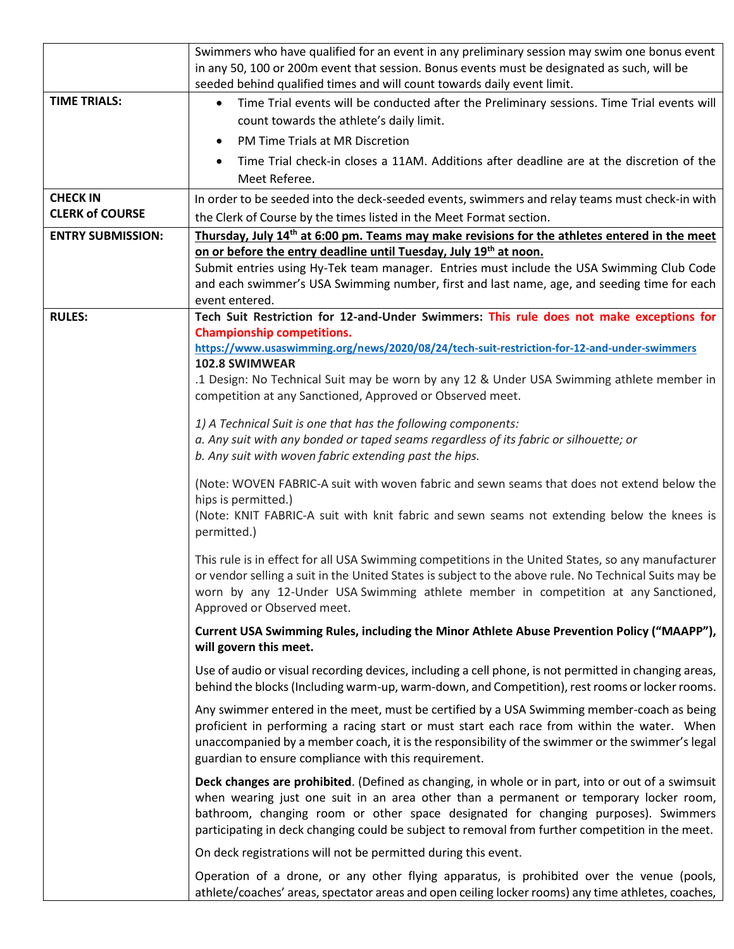|                          | Swimmers who have qualified for an event in any preliminary session may swim one bonus event                                                                                                                                                                                     |
|--------------------------|----------------------------------------------------------------------------------------------------------------------------------------------------------------------------------------------------------------------------------------------------------------------------------|
|                          | in any 50, 100 or 200m event that session. Bonus events must be designated as such, will be                                                                                                                                                                                      |
|                          | seeded behind qualified times and will count towards daily event limit.                                                                                                                                                                                                          |
| <b>TIME TRIALS:</b>      | Time Trial events will be conducted after the Preliminary sessions. Time Trial events will<br>$\bullet$                                                                                                                                                                          |
|                          | count towards the athlete's daily limit.                                                                                                                                                                                                                                         |
|                          | PM Time Trials at MR Discretion<br>$\bullet$                                                                                                                                                                                                                                     |
|                          | Time Trial check-in closes a 11AM. Additions after deadline are at the discretion of the                                                                                                                                                                                         |
|                          | Meet Referee.                                                                                                                                                                                                                                                                    |
| <b>CHECK IN</b>          | In order to be seeded into the deck-seeded events, swimmers and relay teams must check-in with                                                                                                                                                                                   |
| <b>CLERK of COURSE</b>   | the Clerk of Course by the times listed in the Meet Format section.                                                                                                                                                                                                              |
| <b>ENTRY SUBMISSION:</b> | Thursday, July 14 <sup>th</sup> at 6:00 pm. Teams may make revisions for the athletes entered in the meet                                                                                                                                                                        |
|                          | on or before the entry deadline until Tuesday, July 19 <sup>th</sup> at noon.                                                                                                                                                                                                    |
|                          | Submit entries using Hy-Tek team manager. Entries must include the USA Swimming Club Code                                                                                                                                                                                        |
|                          | and each swimmer's USA Swimming number, first and last name, age, and seeding time for each                                                                                                                                                                                      |
|                          | event entered.                                                                                                                                                                                                                                                                   |
| <b>RULES:</b>            | Tech Suit Restriction for 12-and-Under Swimmers: This rule does not make exceptions for<br><b>Championship competitions.</b>                                                                                                                                                     |
|                          | https://www.usaswimming.org/news/2020/08/24/tech-suit-restriction-for-12-and-under-swimmers                                                                                                                                                                                      |
|                          | 102.8 SWIMWEAR                                                                                                                                                                                                                                                                   |
|                          | .1 Design: No Technical Suit may be worn by any 12 & Under USA Swimming athlete member in                                                                                                                                                                                        |
|                          | competition at any Sanctioned, Approved or Observed meet.                                                                                                                                                                                                                        |
|                          | 1) A Technical Suit is one that has the following components:                                                                                                                                                                                                                    |
|                          | a. Any suit with any bonded or taped seams regardless of its fabric or silhouette; or                                                                                                                                                                                            |
|                          | b. Any suit with woven fabric extending past the hips.                                                                                                                                                                                                                           |
|                          | (Note: WOVEN FABRIC-A suit with woven fabric and sewn seams that does not extend below the<br>hips is permitted.)                                                                                                                                                                |
|                          | (Note: KNIT FABRIC-A suit with knit fabric and sewn seams not extending below the knees is<br>permitted.)                                                                                                                                                                        |
|                          | This rule is in effect for all USA Swimming competitions in the United States, so any manufacturer                                                                                                                                                                               |
|                          | or vendor selling a suit in the United States is subject to the above rule. No Technical Suits may be                                                                                                                                                                            |
|                          | worn by any 12-Under USA Swimming athlete member in competition at any Sanctioned,                                                                                                                                                                                               |
|                          | Approved or Observed meet.                                                                                                                                                                                                                                                       |
|                          | Current USA Swimming Rules, including the Minor Athlete Abuse Prevention Policy ("MAAPP"),<br>will govern this meet.                                                                                                                                                             |
|                          | Use of audio or visual recording devices, including a cell phone, is not permitted in changing areas,                                                                                                                                                                            |
|                          | behind the blocks (Including warm-up, warm-down, and Competition), rest rooms or locker rooms.                                                                                                                                                                                   |
|                          | Any swimmer entered in the meet, must be certified by a USA Swimming member-coach as being<br>proficient in performing a racing start or must start each race from within the water. When                                                                                        |
|                          | unaccompanied by a member coach, it is the responsibility of the swimmer or the swimmer's legal<br>guardian to ensure compliance with this requirement.                                                                                                                          |
|                          | Deck changes are prohibited. (Defined as changing, in whole or in part, into or out of a swimsuit                                                                                                                                                                                |
|                          | when wearing just one suit in an area other than a permanent or temporary locker room,<br>bathroom, changing room or other space designated for changing purposes). Swimmers<br>participating in deck changing could be subject to removal from further competition in the meet. |
|                          | On deck registrations will not be permitted during this event.                                                                                                                                                                                                                   |
|                          | Operation of a drone, or any other flying apparatus, is prohibited over the venue (pools,                                                                                                                                                                                        |
|                          | athlete/coaches' areas, spectator areas and open ceiling locker rooms) any time athletes, coaches,                                                                                                                                                                               |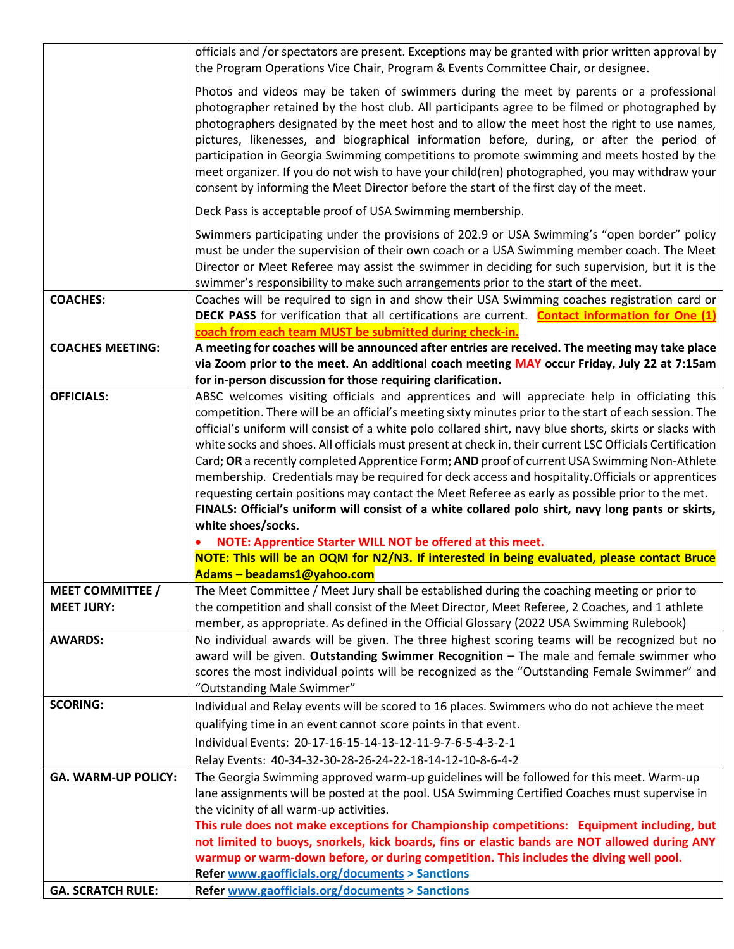|                            | officials and /or spectators are present. Exceptions may be granted with prior written approval by<br>the Program Operations Vice Chair, Program & Events Committee Chair, or designee.                                                                                                                                                                                                                                                                                                                                                                                                                                                                                         |
|----------------------------|---------------------------------------------------------------------------------------------------------------------------------------------------------------------------------------------------------------------------------------------------------------------------------------------------------------------------------------------------------------------------------------------------------------------------------------------------------------------------------------------------------------------------------------------------------------------------------------------------------------------------------------------------------------------------------|
|                            | Photos and videos may be taken of swimmers during the meet by parents or a professional<br>photographer retained by the host club. All participants agree to be filmed or photographed by<br>photographers designated by the meet host and to allow the meet host the right to use names,<br>pictures, likenesses, and biographical information before, during, or after the period of<br>participation in Georgia Swimming competitions to promote swimming and meets hosted by the<br>meet organizer. If you do not wish to have your child(ren) photographed, you may withdraw your<br>consent by informing the Meet Director before the start of the first day of the meet. |
|                            | Deck Pass is acceptable proof of USA Swimming membership.                                                                                                                                                                                                                                                                                                                                                                                                                                                                                                                                                                                                                       |
|                            | Swimmers participating under the provisions of 202.9 or USA Swimming's "open border" policy<br>must be under the supervision of their own coach or a USA Swimming member coach. The Meet<br>Director or Meet Referee may assist the swimmer in deciding for such supervision, but it is the<br>swimmer's responsibility to make such arrangements prior to the start of the meet.                                                                                                                                                                                                                                                                                               |
| <b>COACHES:</b>            | Coaches will be required to sign in and show their USA Swimming coaches registration card or<br>DECK PASS for verification that all certifications are current. Contact information for One (1)                                                                                                                                                                                                                                                                                                                                                                                                                                                                                 |
| <b>COACHES MEETING:</b>    | coach from each team MUST be submitted during check-in.                                                                                                                                                                                                                                                                                                                                                                                                                                                                                                                                                                                                                         |
|                            | A meeting for coaches will be announced after entries are received. The meeting may take place<br>via Zoom prior to the meet. An additional coach meeting MAY occur Friday, July 22 at 7:15am                                                                                                                                                                                                                                                                                                                                                                                                                                                                                   |
|                            | for in-person discussion for those requiring clarification.                                                                                                                                                                                                                                                                                                                                                                                                                                                                                                                                                                                                                     |
| <b>OFFICIALS:</b>          | ABSC welcomes visiting officials and apprentices and will appreciate help in officiating this                                                                                                                                                                                                                                                                                                                                                                                                                                                                                                                                                                                   |
|                            | competition. There will be an official's meeting sixty minutes prior to the start of each session. The                                                                                                                                                                                                                                                                                                                                                                                                                                                                                                                                                                          |
|                            | official's uniform will consist of a white polo collared shirt, navy blue shorts, skirts or slacks with                                                                                                                                                                                                                                                                                                                                                                                                                                                                                                                                                                         |
|                            | white socks and shoes. All officials must present at check in, their current LSC Officials Certification                                                                                                                                                                                                                                                                                                                                                                                                                                                                                                                                                                        |
|                            | Card; OR a recently completed Apprentice Form; AND proof of current USA Swimming Non-Athlete                                                                                                                                                                                                                                                                                                                                                                                                                                                                                                                                                                                    |
|                            | membership. Credentials may be required for deck access and hospitality. Officials or apprentices<br>requesting certain positions may contact the Meet Referee as early as possible prior to the met.                                                                                                                                                                                                                                                                                                                                                                                                                                                                           |
|                            | FINALS: Official's uniform will consist of a white collared polo shirt, navy long pants or skirts,                                                                                                                                                                                                                                                                                                                                                                                                                                                                                                                                                                              |
|                            | white shoes/socks.                                                                                                                                                                                                                                                                                                                                                                                                                                                                                                                                                                                                                                                              |
|                            | NOTE: Apprentice Starter WILL NOT be offered at this meet.                                                                                                                                                                                                                                                                                                                                                                                                                                                                                                                                                                                                                      |
|                            | NOTE: This will be an OQM for N2/N3. If interested in being evaluated, please contact Bruce                                                                                                                                                                                                                                                                                                                                                                                                                                                                                                                                                                                     |
|                            | Adams-beadams1@yahoo.com                                                                                                                                                                                                                                                                                                                                                                                                                                                                                                                                                                                                                                                        |
| <b>MEET COMMITTEE /</b>    | The Meet Committee / Meet Jury shall be established during the coaching meeting or prior to                                                                                                                                                                                                                                                                                                                                                                                                                                                                                                                                                                                     |
| <b>MEET JURY:</b>          | the competition and shall consist of the Meet Director, Meet Referee, 2 Coaches, and 1 athlete                                                                                                                                                                                                                                                                                                                                                                                                                                                                                                                                                                                  |
|                            | member, as appropriate. As defined in the Official Glossary (2022 USA Swimming Rulebook)                                                                                                                                                                                                                                                                                                                                                                                                                                                                                                                                                                                        |
| <b>AWARDS:</b>             | No individual awards will be given. The three highest scoring teams will be recognized but no                                                                                                                                                                                                                                                                                                                                                                                                                                                                                                                                                                                   |
|                            | award will be given. Outstanding Swimmer Recognition - The male and female swimmer who<br>scores the most individual points will be recognized as the "Outstanding Female Swimmer" and                                                                                                                                                                                                                                                                                                                                                                                                                                                                                          |
|                            | "Outstanding Male Swimmer"                                                                                                                                                                                                                                                                                                                                                                                                                                                                                                                                                                                                                                                      |
| <b>SCORING:</b>            | Individual and Relay events will be scored to 16 places. Swimmers who do not achieve the meet                                                                                                                                                                                                                                                                                                                                                                                                                                                                                                                                                                                   |
|                            | qualifying time in an event cannot score points in that event.                                                                                                                                                                                                                                                                                                                                                                                                                                                                                                                                                                                                                  |
|                            | Individual Events: 20-17-16-15-14-13-12-11-9-7-6-5-4-3-2-1                                                                                                                                                                                                                                                                                                                                                                                                                                                                                                                                                                                                                      |
|                            | Relay Events: 40-34-32-30-28-26-24-22-18-14-12-10-8-6-4-2                                                                                                                                                                                                                                                                                                                                                                                                                                                                                                                                                                                                                       |
| <b>GA. WARM-UP POLICY:</b> | The Georgia Swimming approved warm-up guidelines will be followed for this meet. Warm-up                                                                                                                                                                                                                                                                                                                                                                                                                                                                                                                                                                                        |
|                            | lane assignments will be posted at the pool. USA Swimming Certified Coaches must supervise in                                                                                                                                                                                                                                                                                                                                                                                                                                                                                                                                                                                   |
|                            | the vicinity of all warm-up activities.                                                                                                                                                                                                                                                                                                                                                                                                                                                                                                                                                                                                                                         |
|                            | This rule does not make exceptions for Championship competitions: Equipment including, but                                                                                                                                                                                                                                                                                                                                                                                                                                                                                                                                                                                      |
|                            | not limited to buoys, snorkels, kick boards, fins or elastic bands are NOT allowed during ANY                                                                                                                                                                                                                                                                                                                                                                                                                                                                                                                                                                                   |
|                            | warmup or warm-down before, or during competition. This includes the diving well pool.                                                                                                                                                                                                                                                                                                                                                                                                                                                                                                                                                                                          |
|                            | <b>Refer www.gaofficials.org/documents &gt; Sanctions</b>                                                                                                                                                                                                                                                                                                                                                                                                                                                                                                                                                                                                                       |
| <b>GA. SCRATCH RULE:</b>   | <b>Refer www.gaofficials.org/documents &gt; Sanctions</b>                                                                                                                                                                                                                                                                                                                                                                                                                                                                                                                                                                                                                       |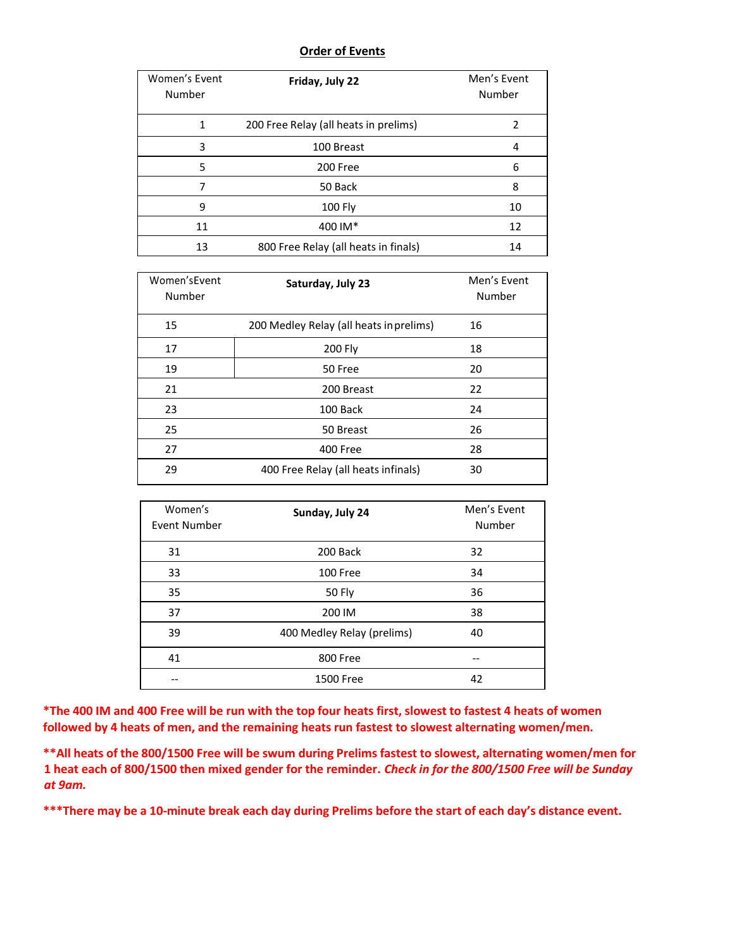#### **Order of Events**

| Women's Event<br>Number | Friday, July 22                       | Men's Event<br>Number |
|-------------------------|---------------------------------------|-----------------------|
| 1                       | 200 Free Relay (all heats in prelims) |                       |
| 3                       | 100 Breast                            | 4                     |
| 5                       | 200 Free                              | 6                     |
| 7                       | 50 Back                               | 8                     |
| 9                       | 100 Fly                               | 10                    |
| 11                      | 400 IM*                               | 12                    |
| 13                      | 800 Free Relay (all heats in finals)  | 14                    |

| Women's Event<br>Number | Saturday, July 23                       | Men's Event<br>Number |
|-------------------------|-----------------------------------------|-----------------------|
| 15                      | 200 Medley Relay (all heats in prelims) | 16                    |
| 17                      | 200 Fly                                 | 18                    |
| 19                      | 50 Free                                 | 20                    |
| 21                      | 200 Breast                              | 22                    |
| 23                      | 100 Back                                | 24                    |
| 25                      | 50 Breast                               | 26                    |
| 27                      | 400 Free                                | 28                    |
| 29                      | 400 Free Relay (all heats infinals)     | 30                    |

| Women's<br>Event Number | Sunday, July 24            | Men's Event<br>Number |
|-------------------------|----------------------------|-----------------------|
| 31                      | 200 Back                   | 32                    |
| 33                      | 100 Free                   | 34                    |
| 35                      | 50 Fly                     | 36                    |
| 37                      | 200 IM                     | 38                    |
| 39                      | 400 Medley Relay (prelims) | 40                    |
| 41                      | 800 Free                   |                       |
|                         | 1500 Free                  | 42                    |

\*The 400 IM and 400 Free will be run with the top four heats first, slowest to fastest 4 heats of women **followed by 4 heats of men, and the remaining heats run fastest to slowest alternating women/men.**

**\*\*All heats of the 800/1500 Free will be swum during Prelims fastest to slowest, alternating women/men for 1 heat each of 800/1500 then mixed gender for the reminder.** *Check in for the 800/1500 Free will be Sunday at 9am.*

\*\*\* There may be a 10-minute break each day during Prelims before the start of each day's distance event.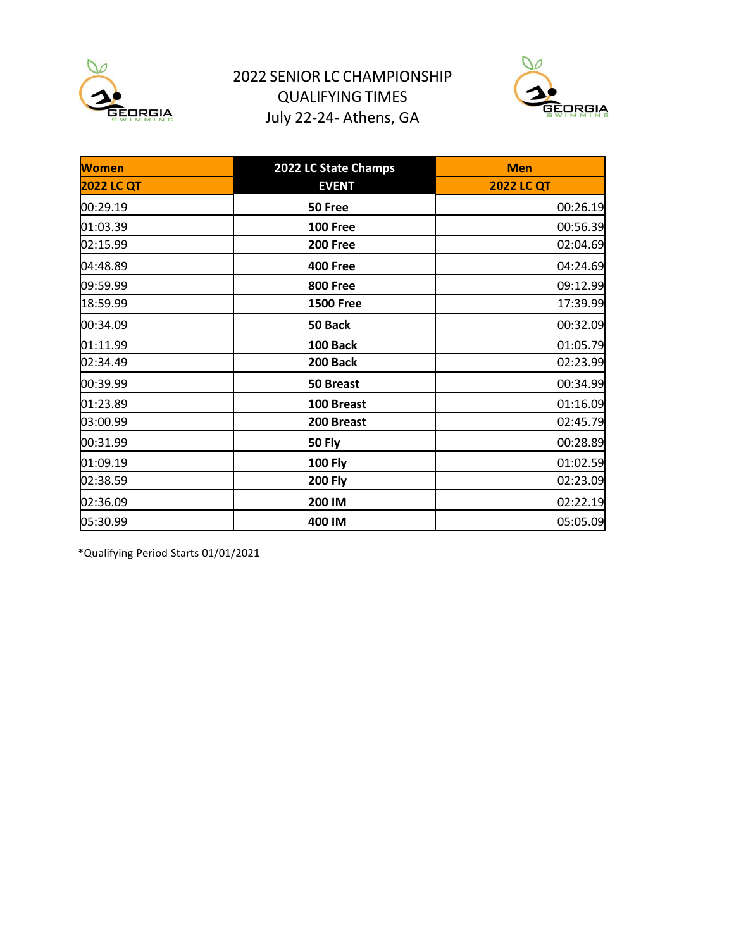

# 2022 SENIOR LC CHAMPIONSHIP QUALIFYING TIMES July 22-24- Athens, GA



| <b>Women</b>      | 2022 LC State Champs | <b>Men</b>        |
|-------------------|----------------------|-------------------|
| <b>2022 LC QT</b> | <b>EVENT</b>         | <b>2022 LC QT</b> |
| 00:29.19          | 50 Free              | 00:26.19          |
| 01:03.39          | <b>100 Free</b>      | 00:56.39          |
| 02:15.99          | <b>200 Free</b>      | 02:04.69          |
| 04:48.89          | <b>400 Free</b>      | 04:24.69          |
| 09:59.99          | <b>800 Free</b>      | 09:12.99          |
| 18:59.99          | <b>1500 Free</b>     | 17:39.99          |
| 00:34.09          | 50 Back              | 00:32.09          |
| 01:11.99          | 100 Back             | 01:05.79          |
| 02:34.49          | 200 Back             | 02:23.99          |
| 00:39.99          | 50 Breast            | 00:34.99          |
| 01:23.89          | 100 Breast           | 01:16.09          |
| 03:00.99          | 200 Breast           | 02:45.79          |
| 00:31.99          | <b>50 Fly</b>        | 00:28.89          |
| 01:09.19          | <b>100 Fly</b>       | 01:02.59          |
| 02:38.59          | <b>200 Fly</b>       | 02:23.09          |
| 02:36.09          | 200 IM               | 02:22.19          |
| 05:30.99          | 400 IM               | 05:05.09          |

\*Qualifying Period Starts 01/01/2021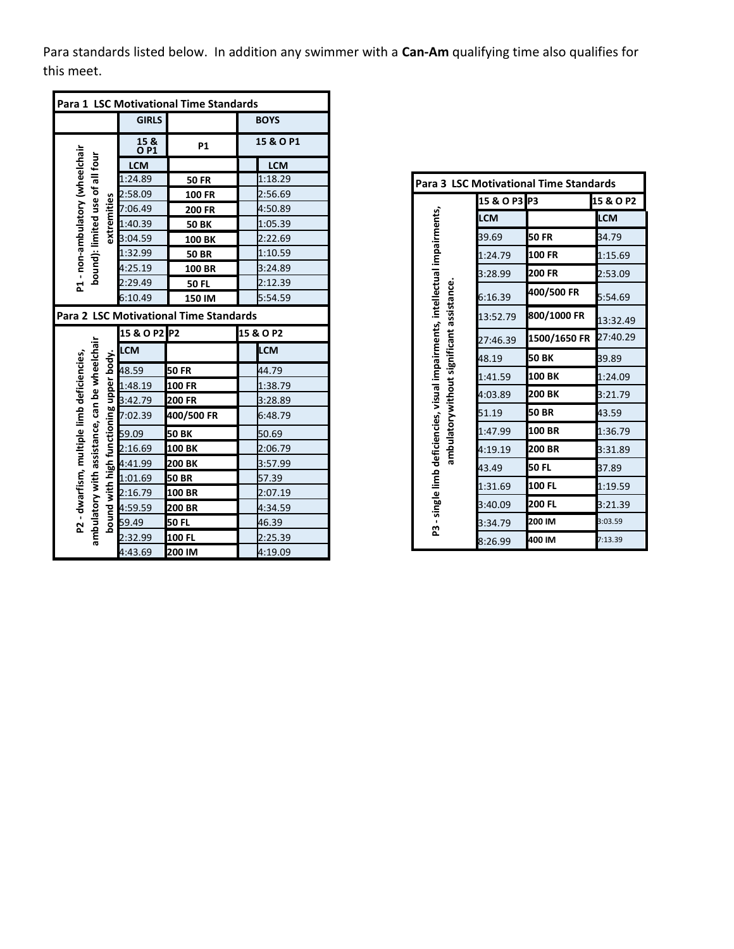Para standards listed below. In addition any swimmer with a **Can-Am** qualifying time also qualifies for this meet.

| Para 1 LSC Motivational Time Standards                             |                                         |                                          |                                        |  |             |
|--------------------------------------------------------------------|-----------------------------------------|------------------------------------------|----------------------------------------|--|-------------|
|                                                                    |                                         | <b>GIRLS</b>                             |                                        |  | <b>BOYS</b> |
|                                                                    |                                         | 15 <sub>8</sub><br><b>OP1</b>            | P1                                     |  | 15 & O P1   |
|                                                                    |                                         | <b>LCM</b>                               |                                        |  | <b>LCM</b>  |
|                                                                    |                                         | 1:24.89                                  | <b>50 FR</b>                           |  | 1:18.29     |
|                                                                    |                                         | 2:58.09                                  | <b>100 FR</b>                          |  | 2:56.69     |
|                                                                    | extremities                             | 7:06.49                                  | 200 FR                                 |  | 4:50.89     |
|                                                                    |                                         | 1:40.39                                  | <b>50 BK</b>                           |  | 1:05.39     |
|                                                                    |                                         | 3:04.59                                  | 100 BK                                 |  | 2:22.69     |
| P1 - non-ambulatory (wheelchair<br>bound): limited use of all four |                                         | 1:32.99                                  | <b>50 BR</b>                           |  | 1:10.59     |
|                                                                    |                                         | 4:25.19                                  | 100 BR                                 |  | 3:24.89     |
|                                                                    |                                         | 2:29.49                                  | <b>50 FL</b>                           |  | 2:12.39     |
|                                                                    |                                         | 6:10.49                                  | 150 IM                                 |  | 5:54.59     |
|                                                                    |                                         |                                          | Para 2 LSC Motivational Time Standards |  |             |
|                                                                    |                                         | P <sub>2</sub><br>15 & O P2<br>15 & O P2 |                                        |  |             |
| ambulatory with assistance, can be wheelchair                      |                                         | LCM                                      |                                        |  | <b>LCM</b>  |
|                                                                    |                                         | 48.59                                    | 50 FR                                  |  | 44.79       |
|                                                                    |                                         | 1:48.19                                  | 100 FR                                 |  | 1:38.79     |
|                                                                    |                                         | 3:42.79                                  | 200 FR                                 |  | 3:28.89     |
| P2 - dwarfism, multiple limb deficiencies,                         | bound with high functioning upper body. | 7:02.39                                  | 400/500 FR                             |  | 6:48.79     |
|                                                                    |                                         | 59.09                                    | 50 BK                                  |  | 50.69       |
|                                                                    |                                         | 2:16.69                                  | 100 BK                                 |  | 2:06.79     |
|                                                                    |                                         | 4:41.99                                  | 200 BK                                 |  | 3:57.99     |
|                                                                    |                                         | 1:01.69                                  | 50 BR                                  |  | 57.39       |
|                                                                    |                                         | 2:16.79                                  | 100 BR                                 |  | 2:07.19     |
|                                                                    |                                         | 4:59.59                                  | 200 BR                                 |  | 4:34.59     |
|                                                                    |                                         | 59.49                                    | 50 FL                                  |  | 46.39       |
|                                                                    |                                         | 2:32.99                                  | 100 FL                                 |  | 2:25.39     |
|                                                                    |                                         | 4:43.69                                  | 200 IM                                 |  | 4:19.09     |

|                                                                                                                           | Para 3 LSC Motivational Time Standards |               |            |  |  |
|---------------------------------------------------------------------------------------------------------------------------|----------------------------------------|---------------|------------|--|--|
|                                                                                                                           | 15 & O P3 P3                           |               | 15 & O P2  |  |  |
|                                                                                                                           | <b>LCM</b>                             |               | <b>LCM</b> |  |  |
|                                                                                                                           | 39.69                                  | 50 FR         | 34.79      |  |  |
|                                                                                                                           | 1:24.79                                | 100 FR        | 1:15.69    |  |  |
|                                                                                                                           | 3:28.99                                | 200 FR        | 2:53.09    |  |  |
| P3 - single limb deficiencies, visual impairments, intellectual impairments,<br>ambulatorywithout significant assistance. | 6:16.39                                | 400/500 FR    | 5:54.69    |  |  |
|                                                                                                                           | 13:52.79                               | 800/1000 FR   | 13:32.49   |  |  |
|                                                                                                                           | 27:46.39                               | 1500/1650 FR  | 27:40.29   |  |  |
|                                                                                                                           | 48.19                                  | <b>50 BK</b>  | 39.89      |  |  |
|                                                                                                                           | 1:41.59                                | 100 BK        | 1:24.09    |  |  |
|                                                                                                                           | 4:03.89                                | 200 BK        | 3:21.79    |  |  |
|                                                                                                                           | 51.19                                  | <b>50 BR</b>  | 43.59      |  |  |
|                                                                                                                           | 1:47.99                                | 100 BR        | 1:36.79    |  |  |
|                                                                                                                           | 4:19.19                                | 200 BR        | 3:31.89    |  |  |
|                                                                                                                           | 43.49                                  | 50 FL         | 37.89      |  |  |
|                                                                                                                           | 1:31.69                                | 100 FL        | 1:19.59    |  |  |
|                                                                                                                           | 3:40.09                                | <b>200 FL</b> | 3:21.39    |  |  |
|                                                                                                                           | 3:34.79                                | 200 IM        | 3:03.59    |  |  |
|                                                                                                                           | 8:26.99                                | 400 IM        | 7:13.39    |  |  |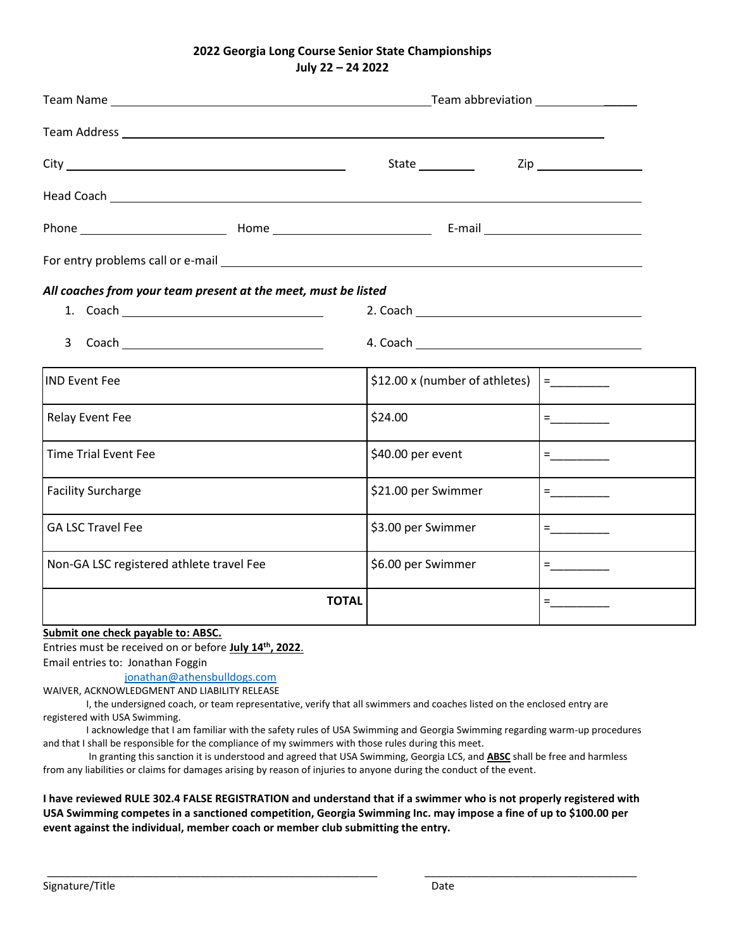### **2022 Georgia Long Course Senior State Championships July 22 – 24 2022**

|                                          |                                                                                                                | State ____________             |                                 |  |
|------------------------------------------|----------------------------------------------------------------------------------------------------------------|--------------------------------|---------------------------------|--|
|                                          | Head Coach Lease and Coach Contract Contract Contract Contract Contract Contract Contract Contract Contract Co |                                |                                 |  |
|                                          |                                                                                                                |                                |                                 |  |
|                                          |                                                                                                                |                                |                                 |  |
|                                          | All coaches from your team present at the meet, must be listed                                                 |                                |                                 |  |
|                                          |                                                                                                                |                                |                                 |  |
|                                          |                                                                                                                |                                |                                 |  |
| <b>IND Event Fee</b>                     |                                                                                                                | \$12.00 x (number of athletes) |                                 |  |
| Relay Event Fee                          |                                                                                                                | \$24.00                        | $\equiv$ 1000 minutes of $\sim$ |  |
| <b>Time Trial Event Fee</b>              |                                                                                                                | \$40.00 per event              |                                 |  |
| <b>Facility Surcharge</b>                |                                                                                                                | \$21.00 per Swimmer            |                                 |  |
| <b>GA LSC Travel Fee</b>                 |                                                                                                                | \$3.00 per Swimmer             | =__________                     |  |
| Non-GA LSC registered athlete travel Fee |                                                                                                                | \$6.00 per Swimmer             |                                 |  |
|                                          | <b>TOTAL</b>                                                                                                   |                                |                                 |  |
|                                          |                                                                                                                |                                |                                 |  |

**Submit one check payable to: ABSC.**

Entries must be received on or before **July 14 th, 2022**.

Email entries to: Jonathan Foggin

[jonathan@athensbulldogs.com](about:blank)

WAIVER, ACKNOWLEDGMENT AND LIABILITY RELEASE

I, the undersigned coach, or team representative, verify that all swimmers and coaches listed on the enclosed entry are registered with USA Swimming.

I acknowledge that I am familiar with the safety rules of USA Swimming and Georgia Swimming regarding warm-up procedures and that I shall be responsible for the compliance of my swimmers with those rules during this meet.

In granting this sanction it is understood and agreed that USA Swimming, Georgia LCS, and **ABSC** shall be free and harmless from any liabilities or claims for damages arising by reason of injuries to anyone during the conduct of the event.

### **I have reviewed RULE 302.4 FALSE REGISTRATION and understand that if a swimmer who is not properly registered with USA Swimming competes in a sanctioned competition, Georgia Swimming Inc. may impose a fine of up to \$100.00 per event against the individual, member coach or member club submitting the entry.**

\_\_\_\_\_\_\_\_\_\_\_\_\_\_\_\_\_\_\_\_\_\_\_\_\_\_\_\_\_\_\_\_\_\_\_\_\_\_\_\_\_\_\_\_\_\_\_\_\_\_\_\_\_\_\_\_ \_\_\_\_\_\_\_\_\_\_\_\_\_\_\_\_\_\_\_\_\_\_\_\_\_\_\_\_\_\_\_\_\_\_\_\_